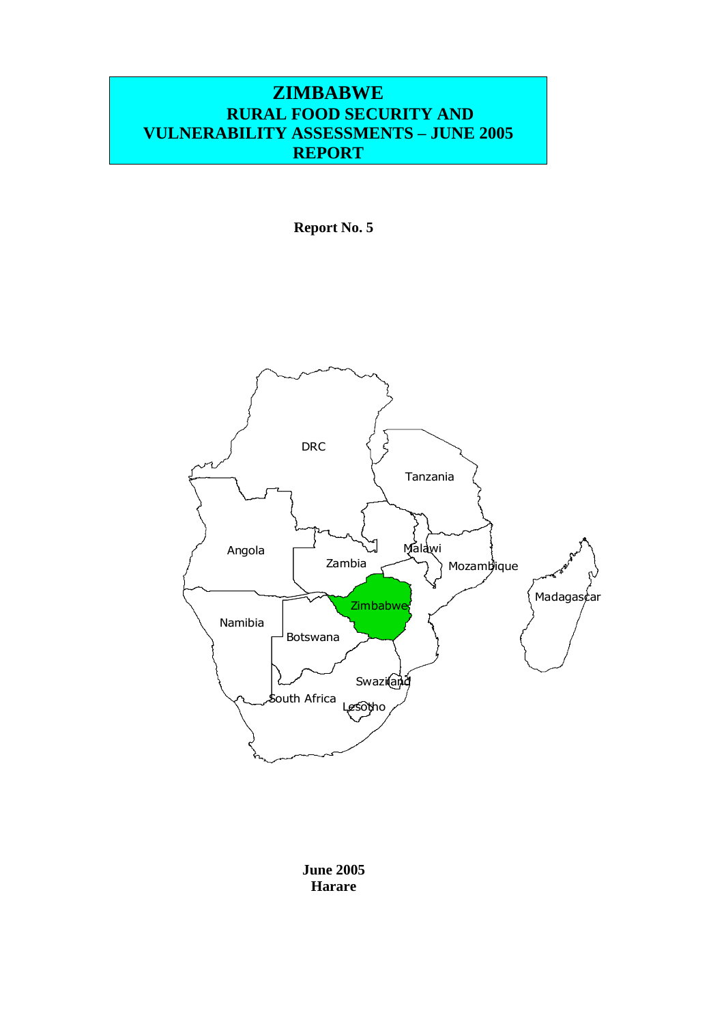#### **ZIMBABWE RURAL FOOD SECURITY AND VULNERABILITY ASSESSMENTS – JUNE 2005 REPORT**

**Report No. 5**



**June 2005 Harare**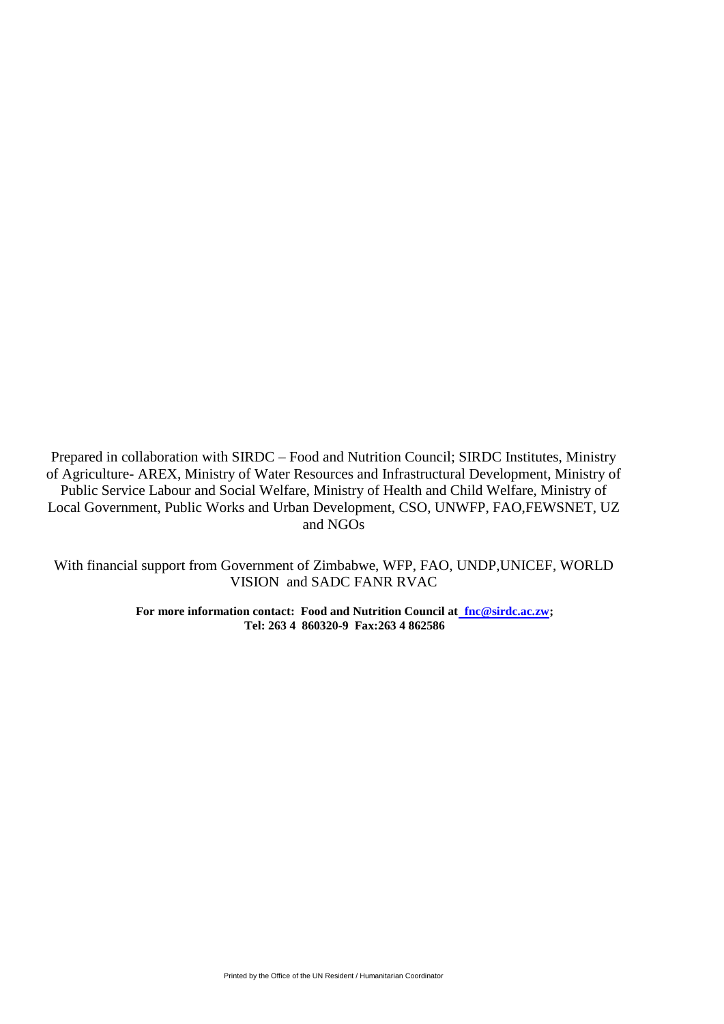Prepared in collaboration with SIRDC – Food and Nutrition Council; SIRDC Institutes, Ministry of Agriculture- AREX, Ministry of Water Resources and Infrastructural Development, Ministry of Public Service Labour and Social Welfare, Ministry of Health and Child Welfare, Ministry of Local Government, Public Works and Urban Development, CSO, UNWFP, FAO,FEWSNET, UZ and NGOs

With financial support from Government of Zimbabwe, WFP, FAO, UNDP,UNICEF, WORLD VISION and SADC FANR RVAC

> **For more information contact: Food and Nutrition Council a[t fnc@sirdc.ac.zw;](mailto:%20%20fnc@sirdc.ac.zw) Tel: 263 4 860320-9 Fax:263 4 862586**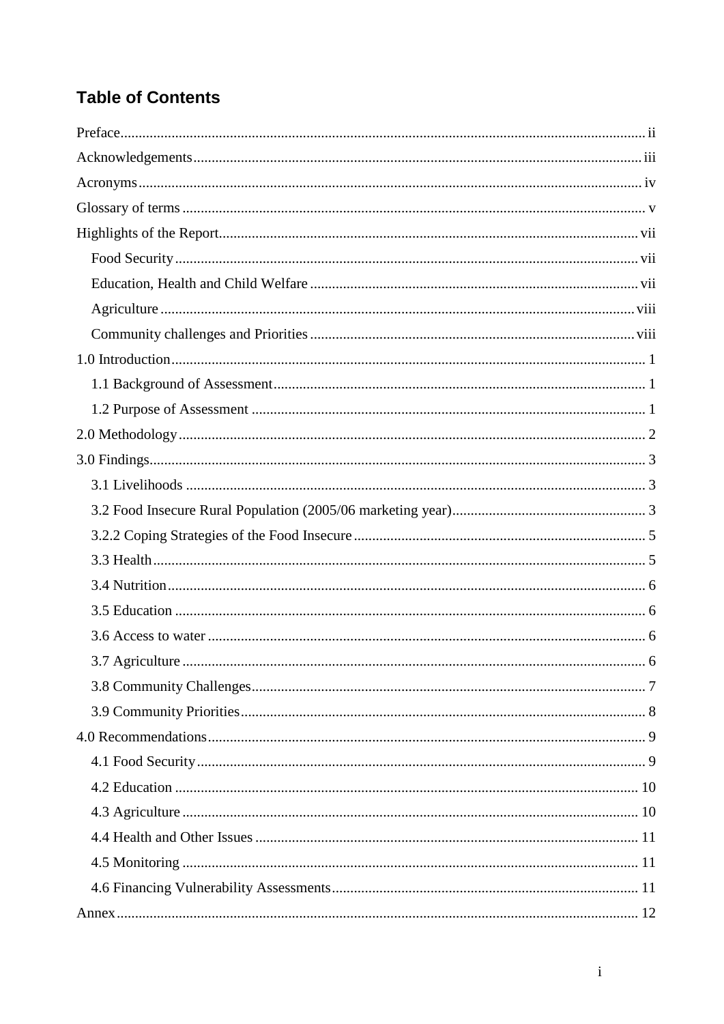# **Table of Contents**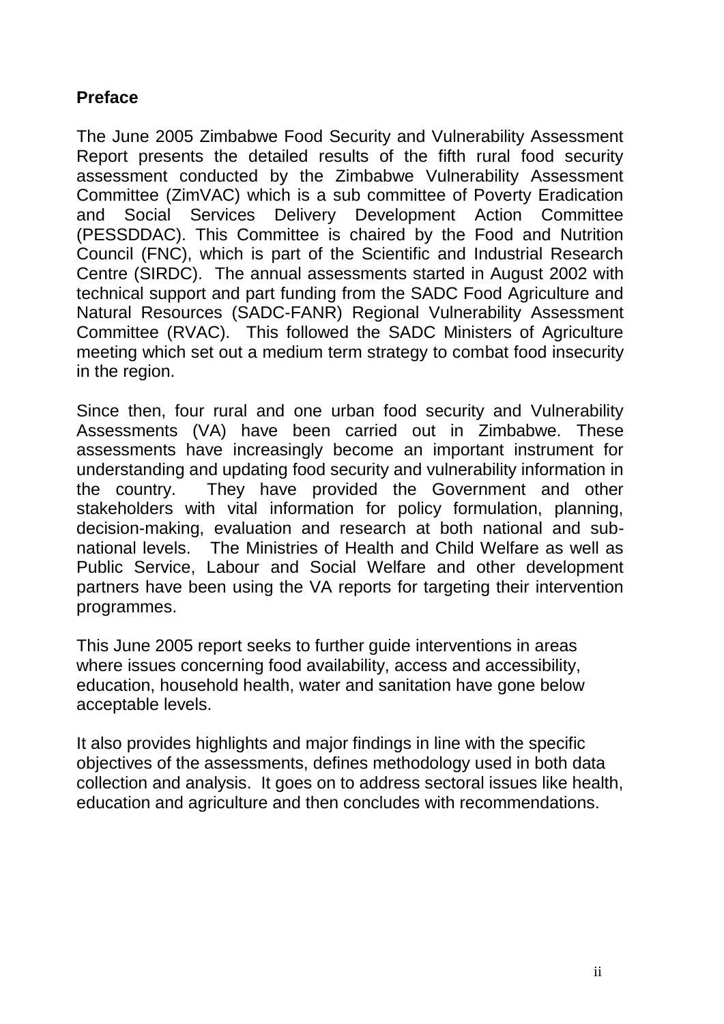### <span id="page-3-0"></span>**Preface**

The June 2005 Zimbabwe Food Security and Vulnerability Assessment Report presents the detailed results of the fifth rural food security assessment conducted by the Zimbabwe Vulnerability Assessment Committee (ZimVAC) which is a sub committee of Poverty Eradication and Social Services Delivery Development Action Committee (PESSDDAC). This Committee is chaired by the Food and Nutrition Council (FNC), which is part of the Scientific and Industrial Research Centre (SIRDC). The annual assessments started in August 2002 with technical support and part funding from the SADC Food Agriculture and Natural Resources (SADC-FANR) Regional Vulnerability Assessment Committee (RVAC). This followed the SADC Ministers of Agriculture meeting which set out a medium term strategy to combat food insecurity in the region.

Since then, four rural and one urban food security and Vulnerability Assessments (VA) have been carried out in Zimbabwe. These assessments have increasingly become an important instrument for understanding and updating food security and vulnerability information in the country. They have provided the Government and other stakeholders with vital information for policy formulation, planning, decision-making, evaluation and research at both national and subnational levels. The Ministries of Health and Child Welfare as well as Public Service, Labour and Social Welfare and other development partners have been using the VA reports for targeting their intervention programmes.

This June 2005 report seeks to further guide interventions in areas where issues concerning food availability, access and accessibility, education, household health, water and sanitation have gone below acceptable levels.

It also provides highlights and major findings in line with the specific objectives of the assessments, defines methodology used in both data collection and analysis. It goes on to address sectoral issues like health, education and agriculture and then concludes with recommendations.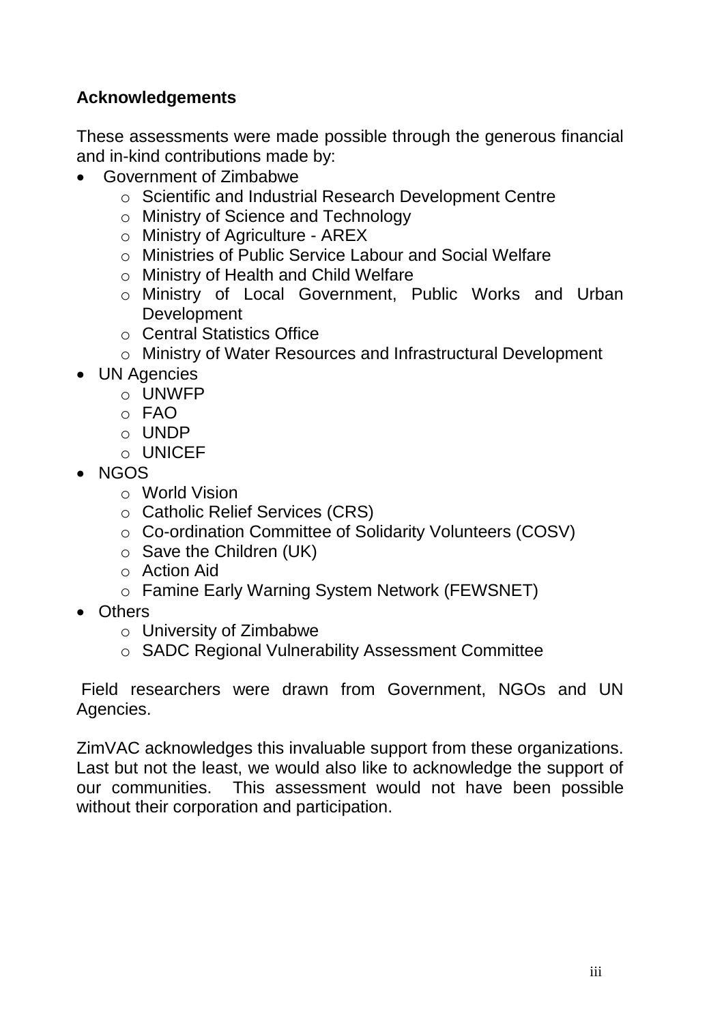### <span id="page-4-0"></span>**Acknowledgements**

These assessments were made possible through the generous financial and in-kind contributions made by:

- Government of Zimbabwe
	- o Scientific and Industrial Research Development Centre
	- o Ministry of Science and Technology
	- o Ministry of Agriculture AREX
	- o Ministries of Public Service Labour and Social Welfare
	- o Ministry of Health and Child Welfare
	- o Ministry of Local Government, Public Works and Urban **Development**
	- o Central Statistics Office
	- o Ministry of Water Resources and Infrastructural Development
- UN Agencies
	- o UNWFP
	- $\circ$  FAO
	- o UNDP
	- o UNICEF
- NGOS
	- o World Vision
	- o Catholic Relief Services (CRS)
	- o Co-ordination Committee of Solidarity Volunteers (COSV)
	- o Save the Children (UK)
	- o Action Aid
	- o Famine Early Warning System Network (FEWSNET)
- Others
	- o University of Zimbabwe
	- o SADC Regional Vulnerability Assessment Committee

Field researchers were drawn from Government, NGOs and UN Agencies.

ZimVAC acknowledges this invaluable support from these organizations. Last but not the least, we would also like to acknowledge the support of our communities. This assessment would not have been possible without their corporation and participation.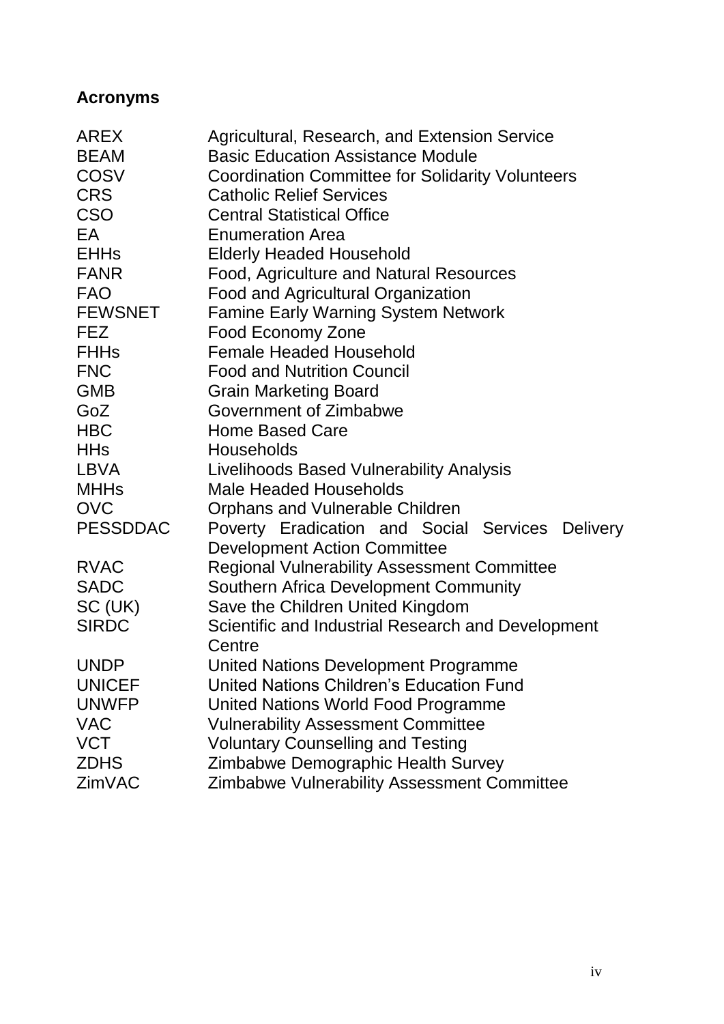## <span id="page-5-0"></span>**Acronyms**

| AREX            | Agricultural, Research, and Extension Service           |  |  |  |  |  |  |  |  |
|-----------------|---------------------------------------------------------|--|--|--|--|--|--|--|--|
| <b>BEAM</b>     | <b>Basic Education Assistance Module</b>                |  |  |  |  |  |  |  |  |
| <b>COSV</b>     | <b>Coordination Committee for Solidarity Volunteers</b> |  |  |  |  |  |  |  |  |
| <b>CRS</b>      | <b>Catholic Relief Services</b>                         |  |  |  |  |  |  |  |  |
| <b>CSO</b>      | <b>Central Statistical Office</b>                       |  |  |  |  |  |  |  |  |
| EA              | <b>Enumeration Area</b>                                 |  |  |  |  |  |  |  |  |
| <b>EHHs</b>     | <b>Elderly Headed Household</b>                         |  |  |  |  |  |  |  |  |
| <b>FANR</b>     | Food, Agriculture and Natural Resources                 |  |  |  |  |  |  |  |  |
| <b>FAO</b>      | <b>Food and Agricultural Organization</b>               |  |  |  |  |  |  |  |  |
| <b>FEWSNET</b>  | <b>Famine Early Warning System Network</b>              |  |  |  |  |  |  |  |  |
| <b>FEZ</b>      | <b>Food Economy Zone</b>                                |  |  |  |  |  |  |  |  |
| <b>FHHs</b>     | <b>Female Headed Household</b>                          |  |  |  |  |  |  |  |  |
| <b>FNC</b>      | <b>Food and Nutrition Council</b>                       |  |  |  |  |  |  |  |  |
| <b>GMB</b>      | <b>Grain Marketing Board</b>                            |  |  |  |  |  |  |  |  |
| GoZ             | Government of Zimbabwe                                  |  |  |  |  |  |  |  |  |
| <b>HBC</b>      | <b>Home Based Care</b>                                  |  |  |  |  |  |  |  |  |
| <b>HHs</b>      | <b>Households</b>                                       |  |  |  |  |  |  |  |  |
| <b>LBVA</b>     | Livelihoods Based Vulnerability Analysis                |  |  |  |  |  |  |  |  |
| <b>MHHs</b>     | <b>Male Headed Households</b>                           |  |  |  |  |  |  |  |  |
| <b>OVC</b>      | Orphans and Vulnerable Children                         |  |  |  |  |  |  |  |  |
| <b>PESSDDAC</b> | Poverty Eradication and Social Services Delivery        |  |  |  |  |  |  |  |  |
|                 | <b>Development Action Committee</b>                     |  |  |  |  |  |  |  |  |
| <b>RVAC</b>     | <b>Regional Vulnerability Assessment Committee</b>      |  |  |  |  |  |  |  |  |
| <b>SADC</b>     | Southern Africa Development Community                   |  |  |  |  |  |  |  |  |
| SC (UK)         | Save the Children United Kingdom                        |  |  |  |  |  |  |  |  |
| <b>SIRDC</b>    | Scientific and Industrial Research and Development      |  |  |  |  |  |  |  |  |
|                 | Centre                                                  |  |  |  |  |  |  |  |  |
| <b>UNDP</b>     | United Nations Development Programme                    |  |  |  |  |  |  |  |  |
| <b>UNICEF</b>   | <b>United Nations Children's Education Fund</b>         |  |  |  |  |  |  |  |  |
| <b>UNWFP</b>    | <b>United Nations World Food Programme</b>              |  |  |  |  |  |  |  |  |
| <b>VAC</b>      | <b>Vulnerability Assessment Committee</b>               |  |  |  |  |  |  |  |  |
| <b>VCT</b>      | <b>Voluntary Counselling and Testing</b>                |  |  |  |  |  |  |  |  |
| <b>ZDHS</b>     | Zimbabwe Demographic Health Survey                      |  |  |  |  |  |  |  |  |
| ZimVAC          | <b>Zimbabwe Vulnerability Assessment Committee</b>      |  |  |  |  |  |  |  |  |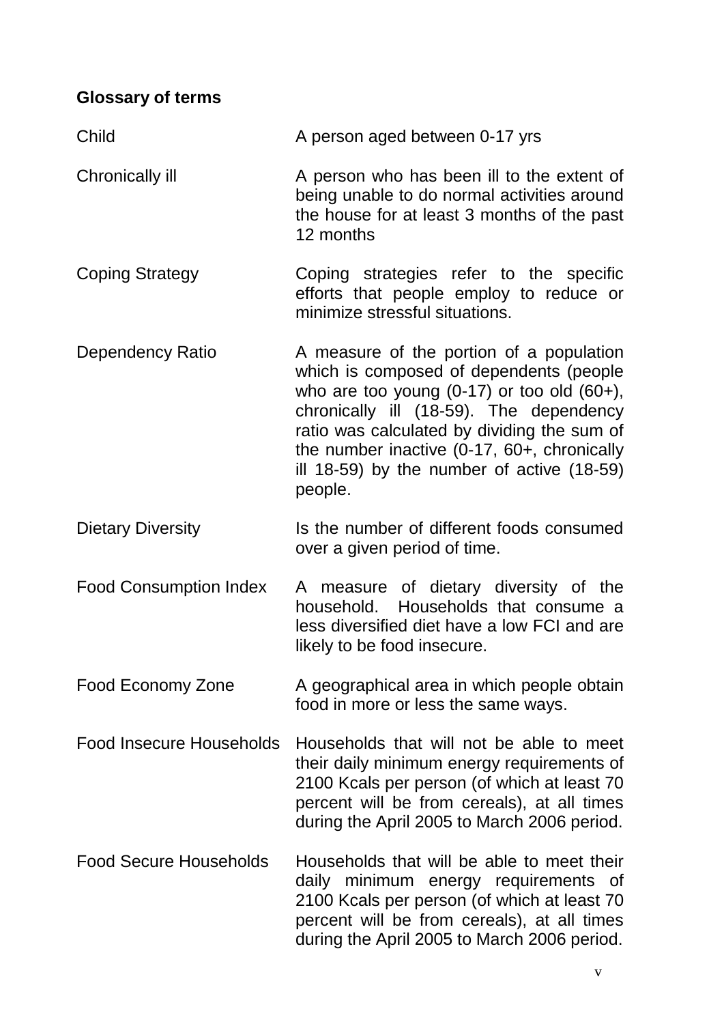## <span id="page-6-0"></span>**Glossary of terms**

| Child                           | A person aged between 0-17 yrs                                                                                                                                                                                                                                                                                                           |
|---------------------------------|------------------------------------------------------------------------------------------------------------------------------------------------------------------------------------------------------------------------------------------------------------------------------------------------------------------------------------------|
| <b>Chronically ill</b>          | A person who has been ill to the extent of<br>being unable to do normal activities around<br>the house for at least 3 months of the past<br>12 months                                                                                                                                                                                    |
| <b>Coping Strategy</b>          | Coping strategies refer to the specific<br>efforts that people employ to reduce or<br>minimize stressful situations.                                                                                                                                                                                                                     |
| Dependency Ratio                | A measure of the portion of a population<br>which is composed of dependents (people<br>who are too young $(0-17)$ or too old $(60+)$ ,<br>chronically ill (18-59). The dependency<br>ratio was calculated by dividing the sum of<br>the number inactive (0-17, 60+, chronically<br>ill 18-59) by the number of active (18-59)<br>people. |
| <b>Dietary Diversity</b>        | Is the number of different foods consumed<br>over a given period of time.                                                                                                                                                                                                                                                                |
| <b>Food Consumption Index</b>   | A measure of dietary diversity of the<br>Households that consume a<br>household.<br>less diversified diet have a low FCI and are<br>likely to be food insecure.                                                                                                                                                                          |
| Food Economy Zone               | A geographical area in which people obtain<br>food in more or less the same ways.                                                                                                                                                                                                                                                        |
| <b>Food Insecure Households</b> | Households that will not be able to meet<br>their daily minimum energy requirements of<br>2100 Kcals per person (of which at least 70<br>percent will be from cereals), at all times<br>during the April 2005 to March 2006 period.                                                                                                      |
| <b>Food Secure Households</b>   | Households that will be able to meet their<br>daily minimum energy requirements of<br>2100 Kcals per person (of which at least 70<br>percent will be from cereals), at all times<br>during the April 2005 to March 2006 period.                                                                                                          |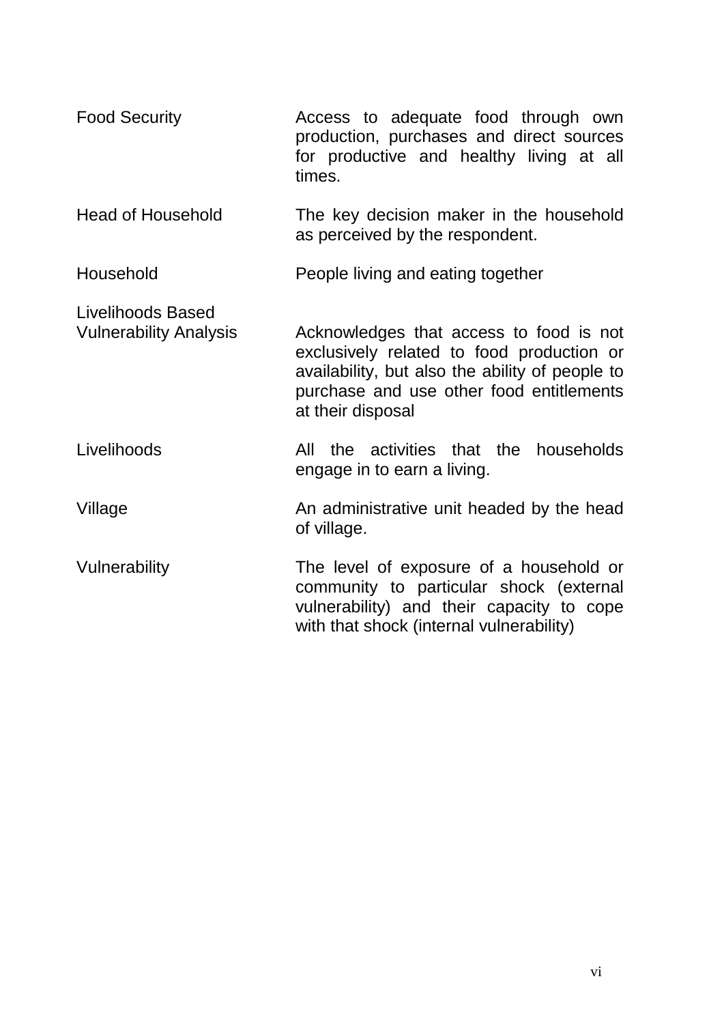| <b>Food Security</b>                               | Access to adequate food through own<br>production, purchases and direct sources<br>for productive and healthy living at all<br>times.                                                                    |  |  |  |  |  |  |  |
|----------------------------------------------------|----------------------------------------------------------------------------------------------------------------------------------------------------------------------------------------------------------|--|--|--|--|--|--|--|
| <b>Head of Household</b>                           | The key decision maker in the household<br>as perceived by the respondent.                                                                                                                               |  |  |  |  |  |  |  |
| Household                                          | People living and eating together                                                                                                                                                                        |  |  |  |  |  |  |  |
| Livelihoods Based<br><b>Vulnerability Analysis</b> | Acknowledges that access to food is not<br>exclusively related to food production or<br>availability, but also the ability of people to<br>purchase and use other food entitlements<br>at their disposal |  |  |  |  |  |  |  |
| Livelihoods                                        | the activities that the households<br>All<br>engage in to earn a living.                                                                                                                                 |  |  |  |  |  |  |  |
| Village                                            | An administrative unit headed by the head<br>of village.                                                                                                                                                 |  |  |  |  |  |  |  |
| Vulnerability                                      | The level of exposure of a household or<br>community to particular shock (external<br>vulnerability) and their capacity to cope<br>with that shock (internal vulnerability)                              |  |  |  |  |  |  |  |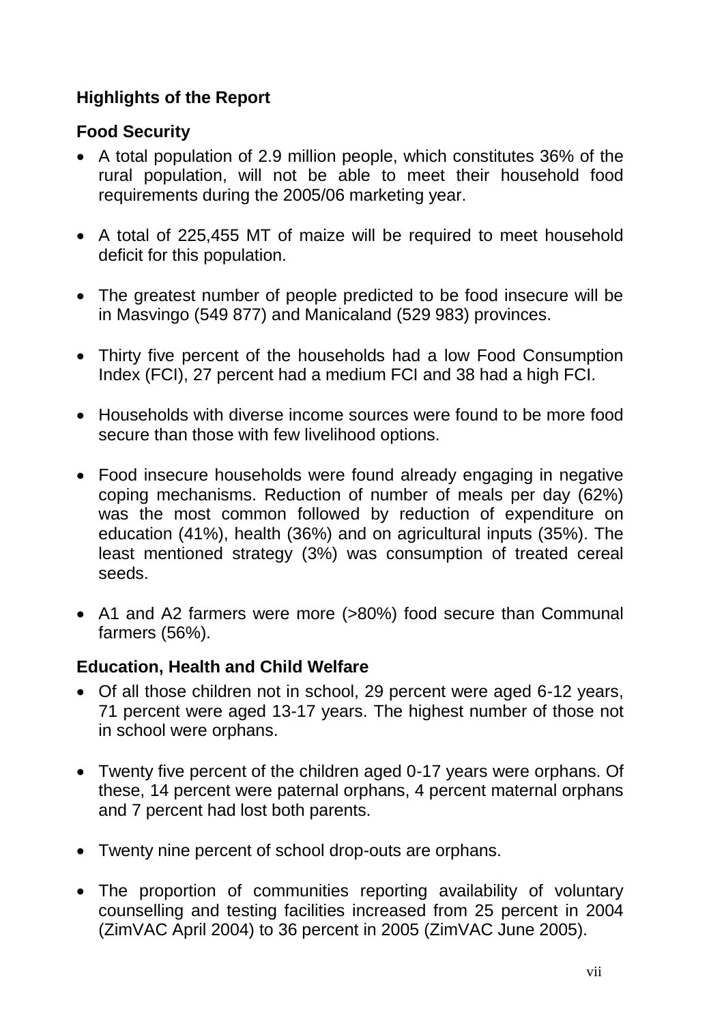## <span id="page-8-0"></span>**Highlights of the Report**

### <span id="page-8-1"></span>**Food Security**

- A total population of 2.9 million people, which constitutes 36% of the rural population, will not be able to meet their household food requirements during the 2005/06 marketing year.
- A total of 225,455 MT of maize will be required to meet household deficit for this population.
- The greatest number of people predicted to be food insecure will be in Masvingo (549 877) and Manicaland (529 983) provinces.
- Thirty five percent of the households had a low Food Consumption Index (FCI), 27 percent had a medium FCI and 38 had a high FCI.
- Households with diverse income sources were found to be more food secure than those with few livelihood options.
- Food insecure households were found already engaging in negative coping mechanisms. Reduction of number of meals per day (62%) was the most common followed by reduction of expenditure on education (41%), health (36%) and on agricultural inputs (35%). The least mentioned strategy (3%) was consumption of treated cereal seeds.
- A1 and A2 farmers were more (>80%) food secure than Communal farmers (56%).

### <span id="page-8-2"></span>**Education, Health and Child Welfare**

- Of all those children not in school, 29 percent were aged 6-12 years, 71 percent were aged 13-17 years. The highest number of those not in school were orphans.
- Twenty five percent of the children aged 0-17 years were orphans. Of these, 14 percent were paternal orphans, 4 percent maternal orphans and 7 percent had lost both parents.
- Twenty nine percent of school drop-outs are orphans.
- The proportion of communities reporting availability of voluntary counselling and testing facilities increased from 25 percent in 2004 (ZimVAC April 2004) to 36 percent in 2005 (ZimVAC June 2005).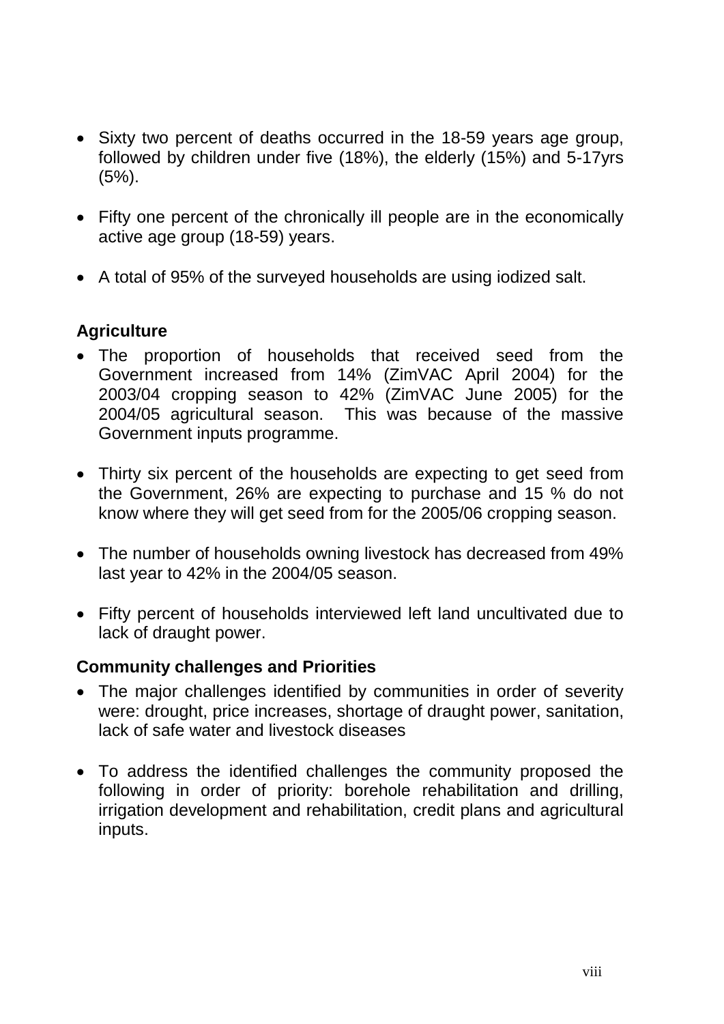- Sixty two percent of deaths occurred in the 18-59 years age group, followed by children under five (18%), the elderly (15%) and 5-17yrs (5%).
- Fifty one percent of the chronically ill people are in the economically active age group (18-59) years.
- A total of 95% of the surveyed households are using iodized salt.

### <span id="page-9-0"></span>**Agriculture**

- The proportion of households that received seed from the Government increased from 14% (ZimVAC April 2004) for the 2003/04 cropping season to 42% (ZimVAC June 2005) for the 2004/05 agricultural season. This was because of the massive Government inputs programme.
- Thirty six percent of the households are expecting to get seed from the Government, 26% are expecting to purchase and 15 % do not know where they will get seed from for the 2005/06 cropping season.
- The number of households owning livestock has decreased from 49% last year to 42% in the 2004/05 season.
- Fifty percent of households interviewed left land uncultivated due to lack of draught power.

### <span id="page-9-1"></span>**Community challenges and Priorities**

- The major challenges identified by communities in order of severity were: drought, price increases, shortage of draught power, sanitation, lack of safe water and livestock diseases
- To address the identified challenges the community proposed the following in order of priority: borehole rehabilitation and drilling, irrigation development and rehabilitation, credit plans and agricultural inputs.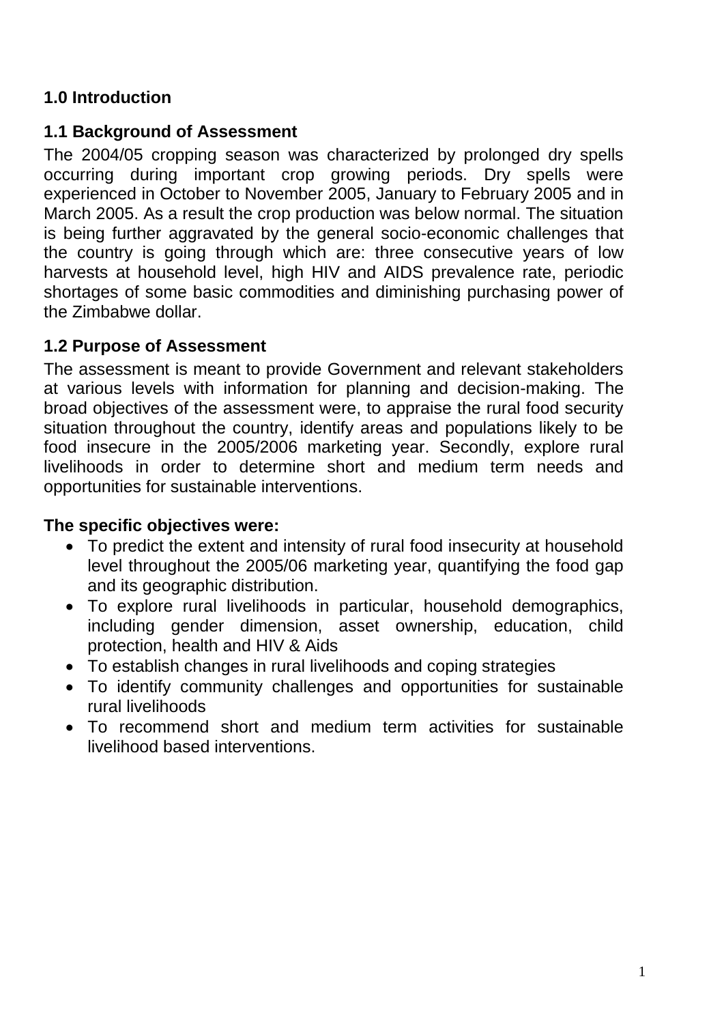### <span id="page-10-0"></span>**1.0 Introduction**

### <span id="page-10-1"></span>**1.1 Background of Assessment**

The 2004/05 cropping season was characterized by prolonged dry spells occurring during important crop growing periods. Dry spells were experienced in October to November 2005, January to February 2005 and in March 2005. As a result the crop production was below normal. The situation is being further aggravated by the general socio-economic challenges that the country is going through which are: three consecutive years of low harvests at household level, high HIV and AIDS prevalence rate, periodic shortages of some basic commodities and diminishing purchasing power of the Zimbabwe dollar.

### <span id="page-10-2"></span>**1.2 Purpose of Assessment**

The assessment is meant to provide Government and relevant stakeholders at various levels with information for planning and decision-making. The broad objectives of the assessment were, to appraise the rural food security situation throughout the country, identify areas and populations likely to be food insecure in the 2005/2006 marketing year. Secondly, explore rural livelihoods in order to determine short and medium term needs and opportunities for sustainable interventions.

### **The specific objectives were:**

- To predict the extent and intensity of rural food insecurity at household level throughout the 2005/06 marketing year, quantifying the food gap and its geographic distribution.
- To explore rural livelihoods in particular, household demographics, including gender dimension, asset ownership, education, child protection, health and HIV & Aids
- To establish changes in rural livelihoods and coping strategies
- To identify community challenges and opportunities for sustainable rural livelihoods
- To recommend short and medium term activities for sustainable livelihood based interventions.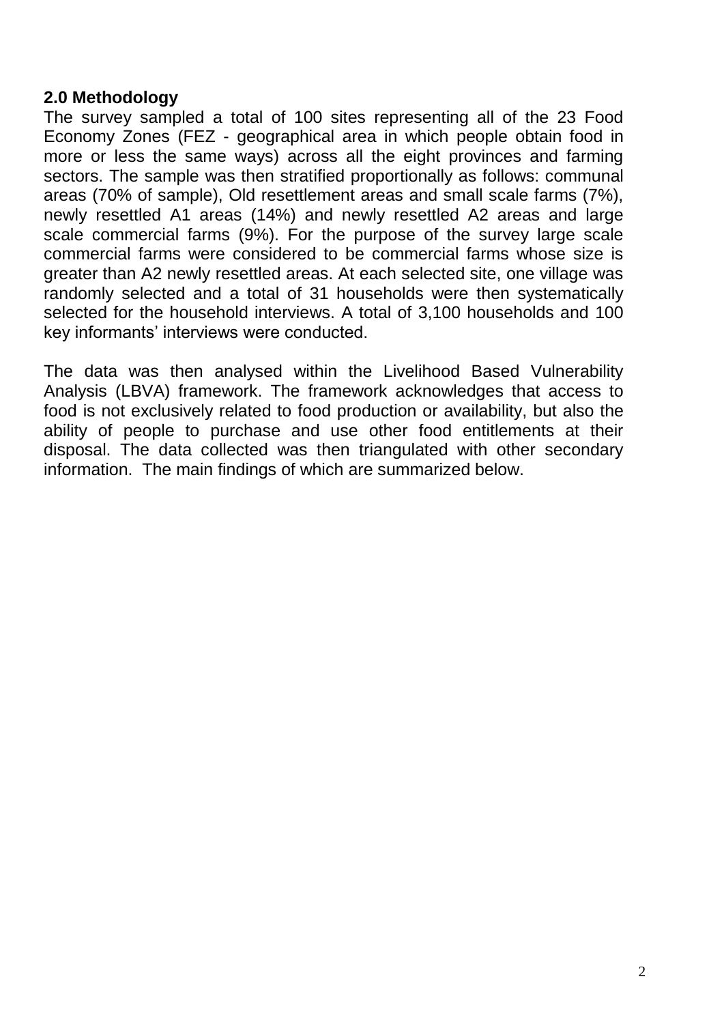#### <span id="page-11-0"></span>**2.0 Methodology**

The survey sampled a total of 100 sites representing all of the 23 Food Economy Zones (FEZ - geographical area in which people obtain food in more or less the same ways) across all the eight provinces and farming sectors. The sample was then stratified proportionally as follows: communal areas (70% of sample), Old resettlement areas and small scale farms (7%), newly resettled A1 areas (14%) and newly resettled A2 areas and large scale commercial farms (9%). For the purpose of the survey large scale commercial farms were considered to be commercial farms whose size is greater than A2 newly resettled areas. At each selected site, one village was randomly selected and a total of 31 households were then systematically selected for the household interviews. A total of 3,100 households and 100 key informants' interviews were conducted.

The data was then analysed within the Livelihood Based Vulnerability Analysis (LBVA) framework. The framework acknowledges that access to food is not exclusively related to food production or availability, but also the ability of people to purchase and use other food entitlements at their disposal. The data collected was then triangulated with other secondary information. The main findings of which are summarized below.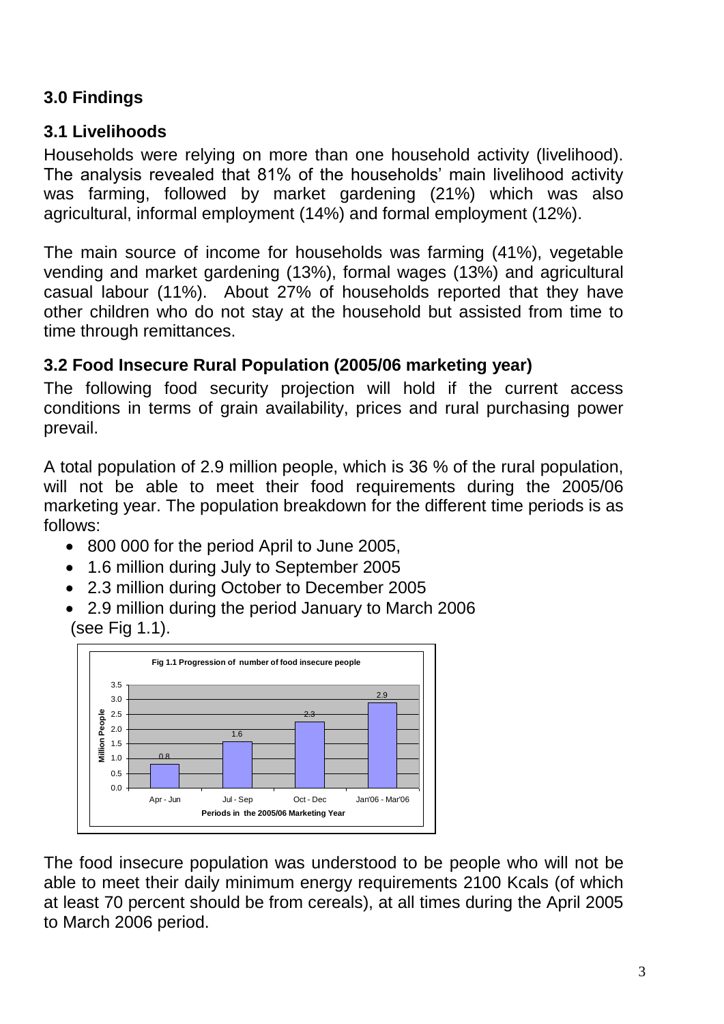## <span id="page-12-0"></span>**3.0 Findings**

### <span id="page-12-1"></span>**3.1 Livelihoods**

Households were relying on more than one household activity (livelihood). The analysis revealed that 81% of the households' main livelihood activity was farming, followed by market gardening (21%) which was also agricultural, informal employment (14%) and formal employment (12%).

The main source of income for households was farming (41%), vegetable vending and market gardening (13%), formal wages (13%) and agricultural casual labour (11%). About 27% of households reported that they have other children who do not stay at the household but assisted from time to time through remittances.

## <span id="page-12-2"></span>**3.2 Food Insecure Rural Population (2005/06 marketing year)**

The following food security projection will hold if the current access conditions in terms of grain availability, prices and rural purchasing power prevail.

A total population of 2.9 million people, which is 36 % of the rural population, will not be able to meet their food requirements during the 2005/06 marketing year. The population breakdown for the different time periods is as follows:

- 800 000 for the period April to June 2005,
- 1.6 million during July to September 2005
- 2.3 million during October to December 2005
- 2.9 million during the period January to March 2006 (see Fig 1.1).



The food insecure population was understood to be people who will not be able to meet their daily minimum energy requirements 2100 Kcals (of which at least 70 percent should be from cereals), at all times during the April 2005 to March 2006 period.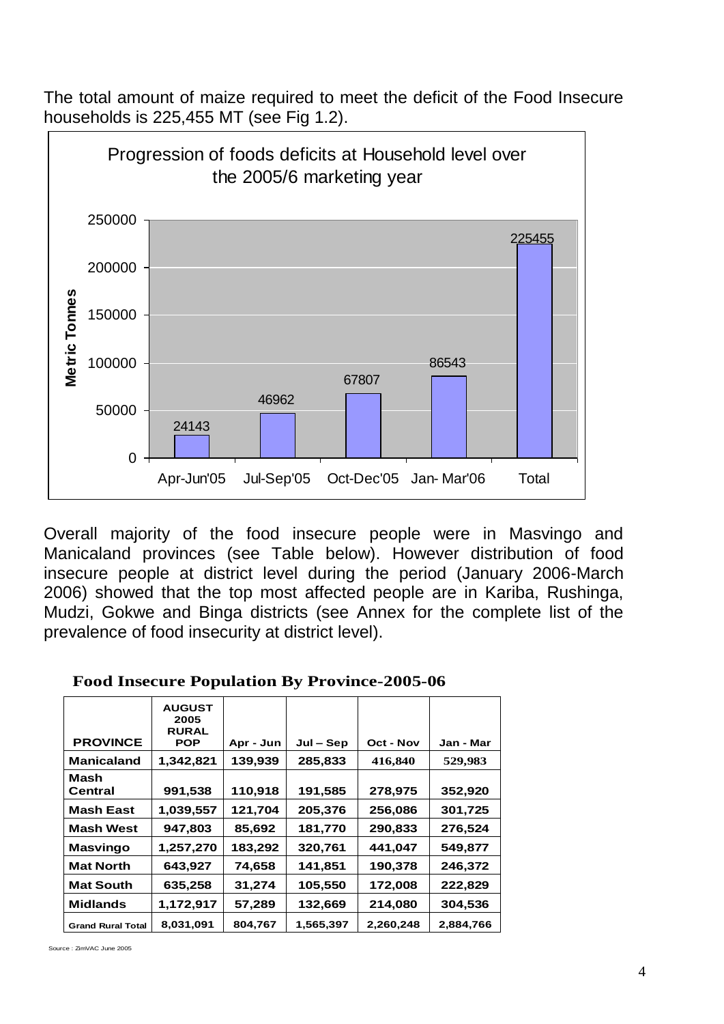The total amount of maize required to meet the deficit of the Food Insecure households is 225,455 MT (see Fig 1.2).



Overall majority of the food insecure people were in Masvingo and Manicaland provinces (see Table below). However distribution of food insecure people at district level during the period (January 2006-March 2006) showed that the top most affected people are in Kariba, Rushinga, Mudzi, Gokwe and Binga districts (see Annex for the complete list of the prevalence of food insecurity at district level).

| <b>PROVINCE</b>          | <b>AUGUST</b><br>2005<br><b>RURAL</b><br><b>POP</b> | Apr - Jun | $Jul - Sep$ | Oct - Nov | Jan - Mar |
|--------------------------|-----------------------------------------------------|-----------|-------------|-----------|-----------|
| <b>Manicaland</b>        | 1,342,821                                           | 139,939   | 285,833     | 416,840   | 529,983   |
| Mash<br>Central          | 991,538                                             | 110,918   | 191,585     | 278,975   | 352,920   |
| <b>Mash East</b>         | 1,039,557                                           | 121,704   | 205,376     | 256,086   | 301,725   |
| <b>Mash West</b>         | 947,803                                             | 85,692    | 181,770     | 290,833   | 276.524   |
| <b>Masvingo</b>          | 1,257,270                                           | 183,292   | 320,761     | 441,047   | 549,877   |
| <b>Mat North</b>         | 643,927                                             | 74,658    | 141,851     | 190,378   | 246,372   |
| <b>Mat South</b>         | 635,258                                             | 31,274    | 105,550     | 172,008   | 222,829   |
| <b>Midlands</b>          | 1,172,917                                           | 57,289    | 132,669     | 214,080   | 304,536   |
| <b>Grand Rural Total</b> | 8,031,091                                           | 804,767   | 1,565,397   | 2,260,248 | 2,884,766 |

| <b>Food Insecure Population By Province-2005-06</b> |  |
|-----------------------------------------------------|--|
|-----------------------------------------------------|--|

Source : ZimVAC June 2005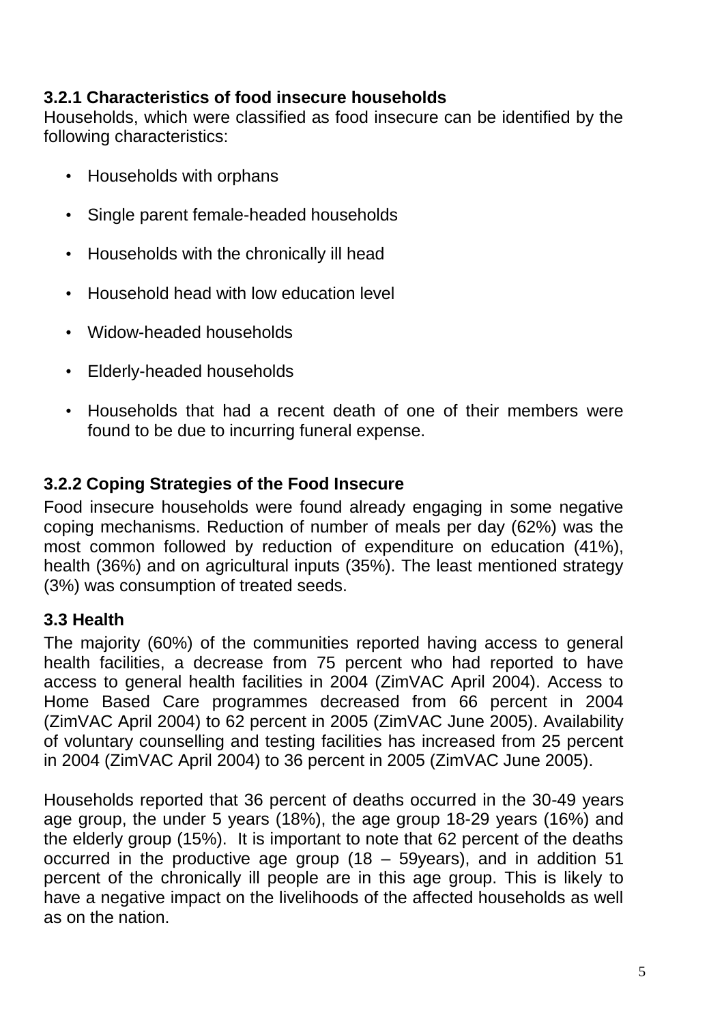### **3.2.1 Characteristics of food insecure households**

Households, which were classified as food insecure can be identified by the following characteristics:

- Households with orphans
- Single parent female-headed households
- Households with the chronically ill head
- Household head with low education level
- Widow-headed households
- Elderly-headed households
- Households that had a recent death of one of their members were found to be due to incurring funeral expense.

### <span id="page-14-0"></span>**3.2.2 Coping Strategies of the Food Insecure**

Food insecure households were found already engaging in some negative coping mechanisms. Reduction of number of meals per day (62%) was the most common followed by reduction of expenditure on education (41%), health (36%) and on agricultural inputs (35%). The least mentioned strategy (3%) was consumption of treated seeds.

#### <span id="page-14-1"></span>**3.3 Health**

The majority (60%) of the communities reported having access to general health facilities, a decrease from 75 percent who had reported to have access to general health facilities in 2004 (ZimVAC April 2004). Access to Home Based Care programmes decreased from 66 percent in 2004 (ZimVAC April 2004) to 62 percent in 2005 (ZimVAC June 2005). Availability of voluntary counselling and testing facilities has increased from 25 percent in 2004 (ZimVAC April 2004) to 36 percent in 2005 (ZimVAC June 2005).

Households reported that 36 percent of deaths occurred in the 30-49 years age group, the under 5 years (18%), the age group 18-29 years (16%) and the elderly group (15%). It is important to note that 62 percent of the deaths occurred in the productive age group (18 – 59years), and in addition 51 percent of the chronically ill people are in this age group. This is likely to have a negative impact on the livelihoods of the affected households as well as on the nation.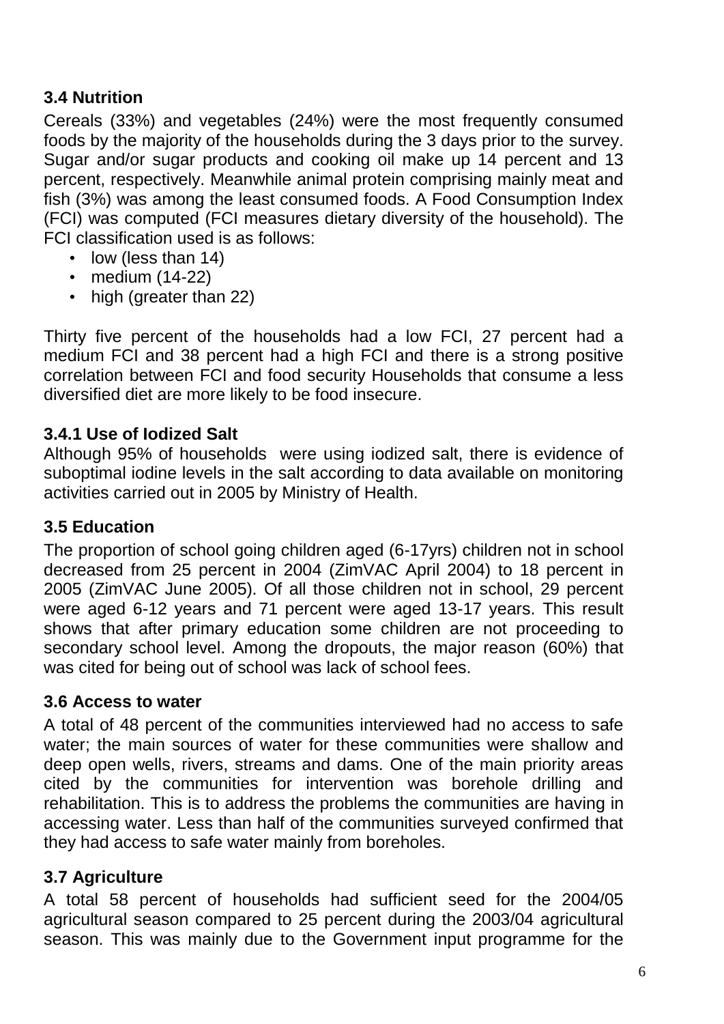### <span id="page-15-0"></span>**3.4 Nutrition**

Cereals (33%) and vegetables (24%) were the most frequently consumed foods by the majority of the households during the 3 days prior to the survey. Sugar and/or sugar products and cooking oil make up 14 percent and 13 percent, respectively. Meanwhile animal protein comprising mainly meat and fish (3%) was among the least consumed foods. A Food Consumption Index (FCI) was computed (FCI measures dietary diversity of the household). The FCI classification used is as follows:

- low (less than 14)
- medium (14-22)
- high (greater than 22)

Thirty five percent of the households had a low FCI, 27 percent had a medium FCI and 38 percent had a high FCI and there is a strong positive correlation between FCI and food security Households that consume a less diversified diet are more likely to be food insecure.

#### **3.4.1 Use of Iodized Salt**

Although 95% of households were using iodized salt, there is evidence of suboptimal iodine levels in the salt according to data available on monitoring activities carried out in 2005 by Ministry of Health.

#### <span id="page-15-1"></span>**3.5 Education**

The proportion of school going children aged (6-17yrs) children not in school decreased from 25 percent in 2004 (ZimVAC April 2004) to 18 percent in 2005 (ZimVAC June 2005). Of all those children not in school, 29 percent were aged 6-12 years and 71 percent were aged 13-17 years. This result shows that after primary education some children are not proceeding to secondary school level. Among the dropouts, the major reason (60%) that was cited for being out of school was lack of school fees.

#### <span id="page-15-2"></span>**3.6 Access to water**

A total of 48 percent of the communities interviewed had no access to safe water; the main sources of water for these communities were shallow and deep open wells, rivers, streams and dams. One of the main priority areas cited by the communities for intervention was borehole drilling and rehabilitation. This is to address the problems the communities are having in accessing water. Less than half of the communities surveyed confirmed that they had access to safe water mainly from boreholes.

### <span id="page-15-3"></span>**3.7 Agriculture**

A total 58 percent of households had sufficient seed for the 2004/05 agricultural season compared to 25 percent during the 2003/04 agricultural season. This was mainly due to the Government input programme for the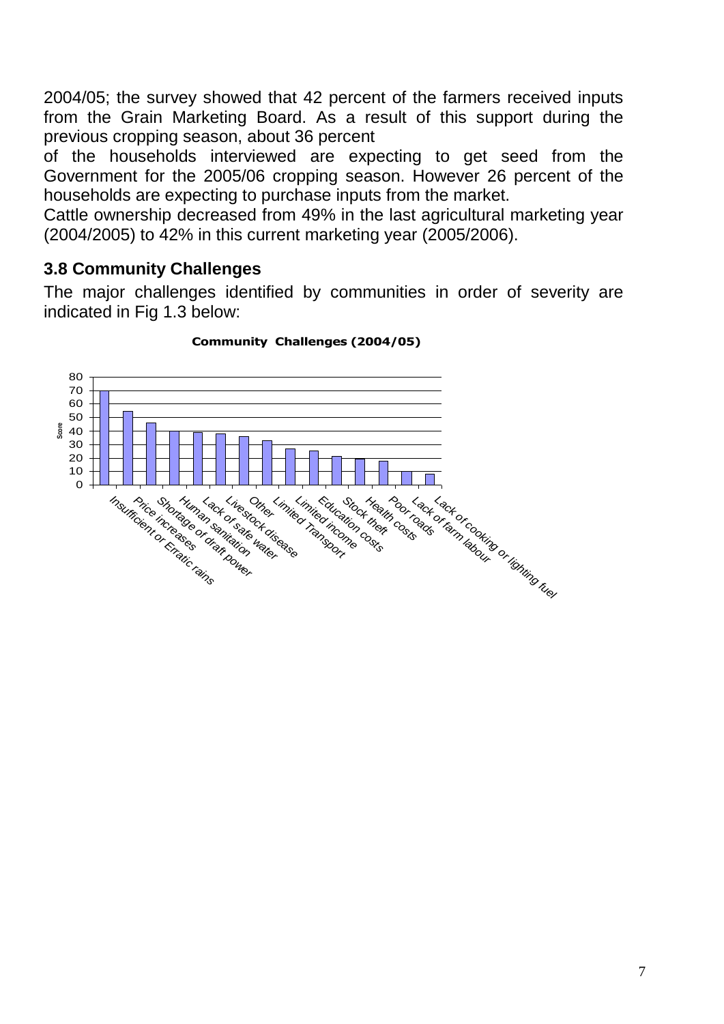2004/05; the survey showed that 42 percent of the farmers received inputs from the Grain Marketing Board. As a result of this support during the previous cropping season, about 36 percent

of the households interviewed are expecting to get seed from the Government for the 2005/06 cropping season. However 26 percent of the households are expecting to purchase inputs from the market.

Cattle ownership decreased from 49% in the last agricultural marketing year (2004/2005) to 42% in this current marketing year (2005/2006).

### <span id="page-16-0"></span>**3.8 Community Challenges**

The major challenges identified by communities in order of severity are indicated in Fig 1.3 below:



#### **Community Challenges (2004/05)**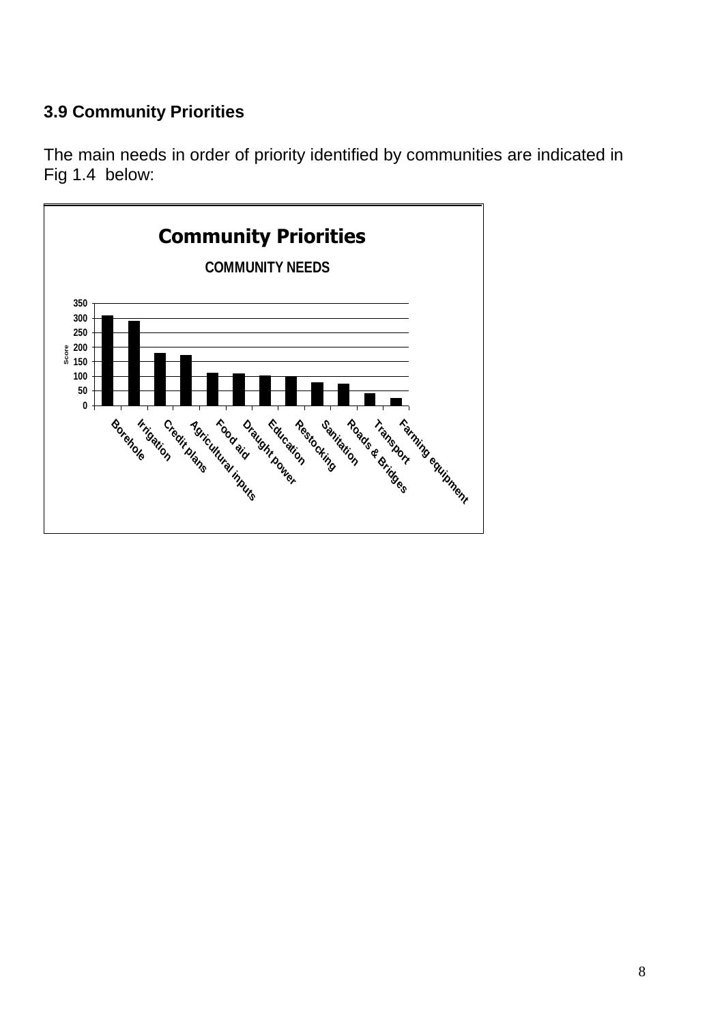## <span id="page-17-0"></span>**3.9 Community Priorities**

The main needs in order of priority identified by communities are indicated in Fig 1.4 below:

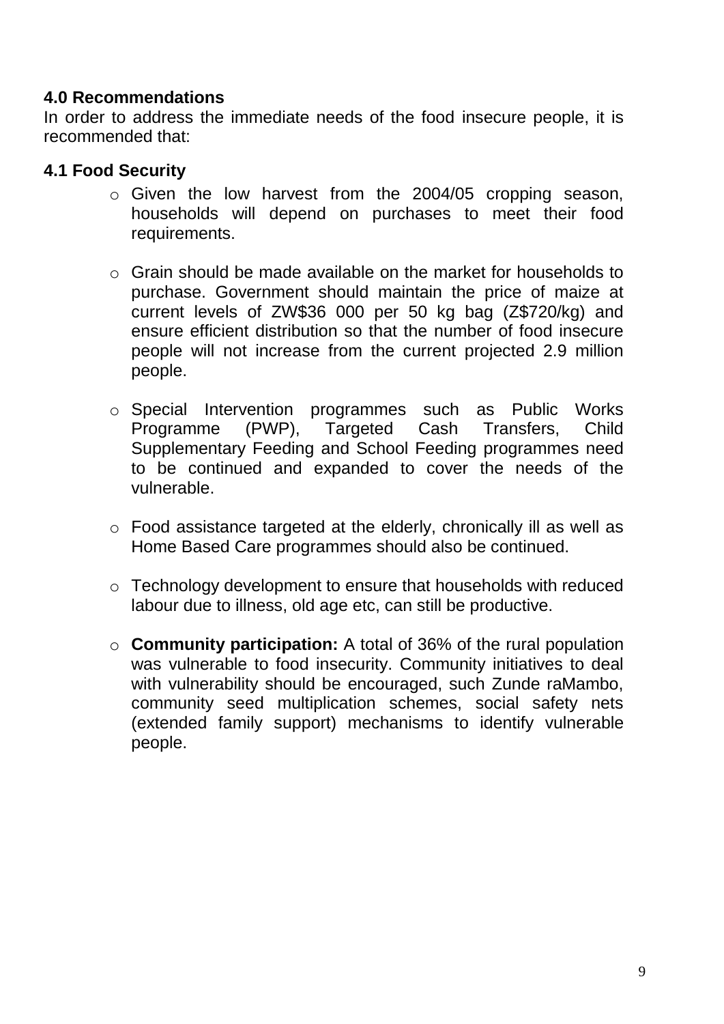#### <span id="page-18-0"></span>**4.0 Recommendations**

In order to address the immediate needs of the food insecure people, it is recommended that:

#### <span id="page-18-1"></span>**4.1 Food Security**

- o Given the low harvest from the 2004/05 cropping season, households will depend on purchases to meet their food requirements.
- o Grain should be made available on the market for households to purchase. Government should maintain the price of maize at current levels of ZW\$36 000 per 50 kg bag (Z\$720/kg) and ensure efficient distribution so that the number of food insecure people will not increase from the current projected 2.9 million people.
- o Special Intervention programmes such as Public Works Programme (PWP), Targeted Cash Transfers, Child Supplementary Feeding and School Feeding programmes need to be continued and expanded to cover the needs of the vulnerable.
- o Food assistance targeted at the elderly, chronically ill as well as Home Based Care programmes should also be continued.
- o Technology development to ensure that households with reduced labour due to illness, old age etc, can still be productive.
- o **Community participation:** A total of 36% of the rural population was vulnerable to food insecurity. Community initiatives to deal with vulnerability should be encouraged, such Zunde raMambo, community seed multiplication schemes, social safety nets (extended family support) mechanisms to identify vulnerable people.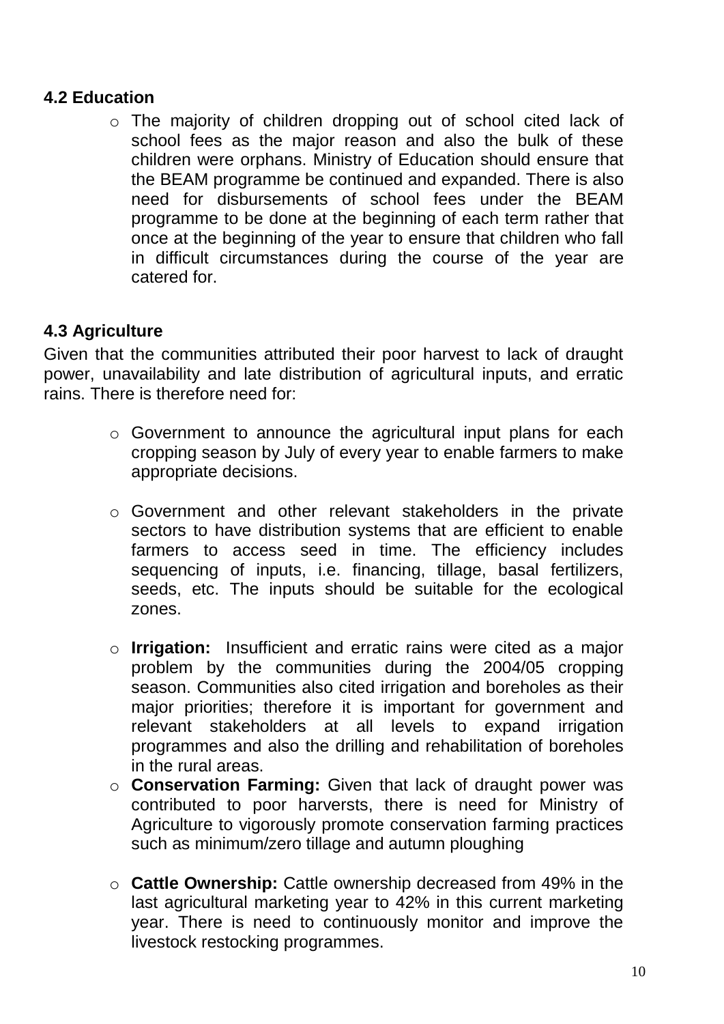#### <span id="page-19-0"></span>**4.2 Education**

o The majority of children dropping out of school cited lack of school fees as the major reason and also the bulk of these children were orphans. Ministry of Education should ensure that the BEAM programme be continued and expanded. There is also need for disbursements of school fees under the BEAM programme to be done at the beginning of each term rather that once at the beginning of the year to ensure that children who fall in difficult circumstances during the course of the year are catered for.

### <span id="page-19-1"></span>**4.3 Agriculture**

Given that the communities attributed their poor harvest to lack of draught power, unavailability and late distribution of agricultural inputs, and erratic rains. There is therefore need for:

- o Government to announce the agricultural input plans for each cropping season by July of every year to enable farmers to make appropriate decisions.
- o Government and other relevant stakeholders in the private sectors to have distribution systems that are efficient to enable farmers to access seed in time. The efficiency includes sequencing of inputs, i.e. financing, tillage, basal fertilizers, seeds, etc. The inputs should be suitable for the ecological zones.
- o **Irrigation:** Insufficient and erratic rains were cited as a major problem by the communities during the 2004/05 cropping season. Communities also cited irrigation and boreholes as their major priorities; therefore it is important for government and relevant stakeholders at all levels to expand irrigation programmes and also the drilling and rehabilitation of boreholes in the rural areas.
- o **Conservation Farming:** Given that lack of draught power was contributed to poor harversts, there is need for Ministry of Agriculture to vigorously promote conservation farming practices such as minimum/zero tillage and autumn ploughing
- o **Cattle Ownership:** Cattle ownership decreased from 49% in the last agricultural marketing year to 42% in this current marketing year. There is need to continuously monitor and improve the livestock restocking programmes.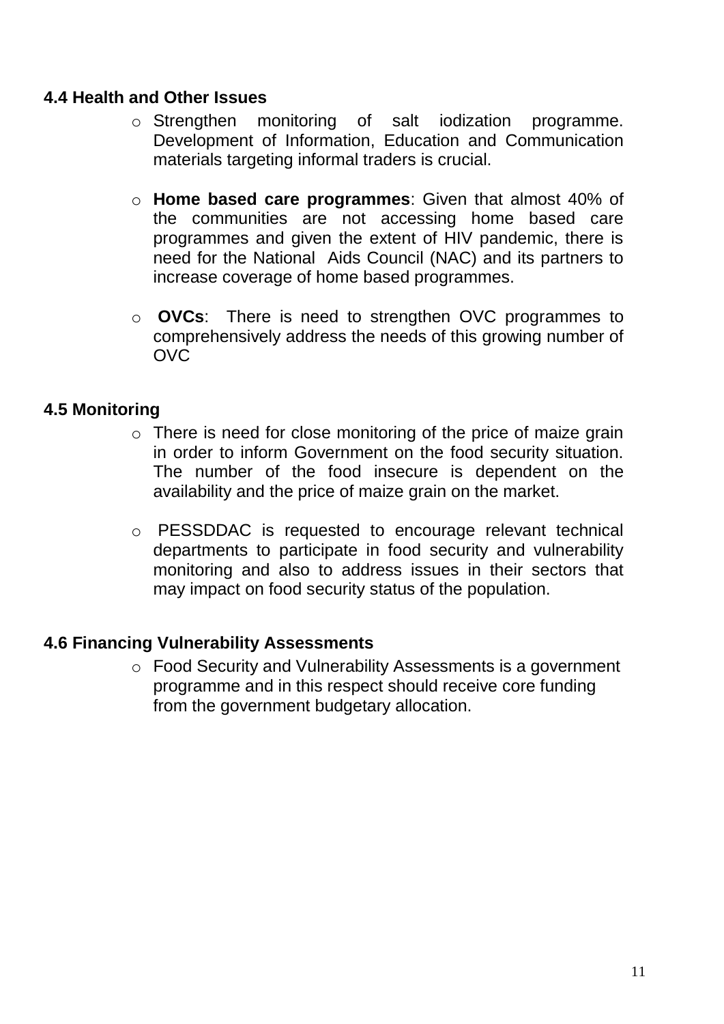#### <span id="page-20-0"></span>**4.4 Health and Other Issues**

- o Strengthen monitoring of salt iodization programme. Development of Information, Education and Communication materials targeting informal traders is crucial.
- o **Home based care programmes**: Given that almost 40% of the communities are not accessing home based care programmes and given the extent of HIV pandemic, there is need for the National Aids Council (NAC) and its partners to increase coverage of home based programmes.
- o **OVCs**: There is need to strengthen OVC programmes to comprehensively address the needs of this growing number of OVC

#### <span id="page-20-1"></span>**4.5 Monitoring**

- o There is need for close monitoring of the price of maize grain in order to inform Government on the food security situation. The number of the food insecure is dependent on the availability and the price of maize grain on the market.
- o PESSDDAC is requested to encourage relevant technical departments to participate in food security and vulnerability monitoring and also to address issues in their sectors that may impact on food security status of the population.

#### <span id="page-20-2"></span>**4.6 Financing Vulnerability Assessments**

o Food Security and Vulnerability Assessments is a government programme and in this respect should receive core funding from the government budgetary allocation.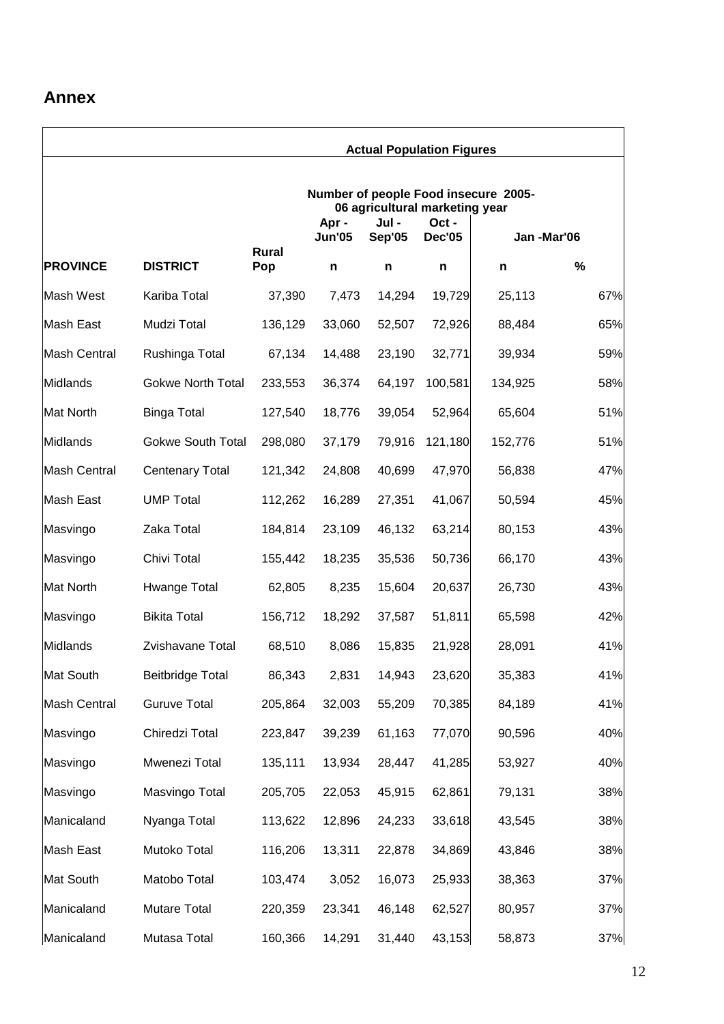#### <span id="page-21-0"></span>**Annex**

|                  |                          |                                                                        |                        | <b>Actual Population Figures</b> |                       |            |      |  |
|------------------|--------------------------|------------------------------------------------------------------------|------------------------|----------------------------------|-----------------------|------------|------|--|
|                  |                          | Number of people Food insecure 2005-<br>06 agricultural marketing year |                        |                                  |                       |            |      |  |
|                  |                          |                                                                        | Apr -<br><b>Jun'05</b> | Jul -<br>Sep'05                  | Oct-<br><b>Dec'05</b> | Jan-Mar'06 |      |  |
| <b>PROVINCE</b>  | <b>DISTRICT</b>          | Rural<br>Pop                                                           | n                      | n                                | n                     | n          | $\%$ |  |
| Mash West        | Kariba Total             | 37,390                                                                 | 7,473                  | 14,294                           | 19,729                | 25,113     | 67%  |  |
| Mash East        | Mudzi Total              | 136,129                                                                | 33,060                 | 52,507                           | 72,926                | 88,484     | 65%  |  |
| Mash Central     | Rushinga Total           | 67,134                                                                 | 14,488                 | 23,190                           | 32,771                | 39,934     | 59%  |  |
| Midlands         | <b>Gokwe North Total</b> | 233,553                                                                | 36,374                 | 64,197                           | 100,581               | 134,925    | 58%  |  |
| Mat North        | <b>Binga Total</b>       | 127,540                                                                | 18,776                 | 39,054                           | 52,964                | 65,604     | 51%  |  |
| Midlands         | <b>Gokwe South Total</b> | 298,080                                                                | 37,179                 | 79,916                           | 121,180               | 152,776    | 51%  |  |
| Mash Central     | <b>Centenary Total</b>   | 121,342                                                                | 24,808                 | 40,699                           | 47,970                | 56,838     | 47%  |  |
| Mash East        | <b>UMP Total</b>         | 112,262                                                                | 16,289                 | 27,351                           | 41,067                | 50,594     | 45%  |  |
| Masvingo         | Zaka Total               | 184,814                                                                | 23,109                 | 46,132                           | 63,214                | 80,153     | 43%  |  |
| Masvingo         | Chivi Total              | 155,442                                                                | 18,235                 | 35,536                           | 50,736                | 66,170     | 43%  |  |
| <b>Mat North</b> | Hwange Total             | 62,805                                                                 | 8,235                  | 15,604                           | 20,637                | 26,730     | 43%  |  |
| Masvingo         | <b>Bikita Total</b>      | 156,712                                                                | 18,292                 | 37,587                           | 51,811                | 65,598     | 42%  |  |
| Midlands         | Zvishavane Total         | 68,510                                                                 | 8,086                  | 15,835                           | 21,928                | 28,091     | 41%  |  |
| Mat South        | <b>Beitbridge Total</b>  | 86,343                                                                 | 2,831                  | 14,943                           | 23,620                | 35,383     | 41%  |  |
| Mash Central     | <b>Guruve Total</b>      | 205,864                                                                | 32,003                 | 55,209                           | 70,385                | 84,189     | 41%  |  |
| Masvingo         | Chiredzi Total           | 223,847                                                                | 39,239                 | 61,163                           | 77,070                | 90,596     | 40%  |  |
| Masvingo         | Mwenezi Total            | 135,111                                                                | 13,934                 | 28,447                           | 41,285                | 53,927     | 40%  |  |
| Masvingo         | Masvingo Total           | 205,705                                                                | 22,053                 | 45,915                           | 62,861                | 79,131     | 38%  |  |
| Manicaland       | Nyanga Total             | 113,622                                                                | 12,896                 | 24,233                           | 33,618                | 43,545     | 38%  |  |
| Mash East        | Mutoko Total             | 116,206                                                                | 13,311                 | 22,878                           | 34,869                | 43,846     | 38%  |  |
| Mat South        | Matobo Total             | 103,474                                                                | 3,052                  | 16,073                           | 25,933                | 38,363     | 37%  |  |
| Manicaland       | Mutare Total             | 220,359                                                                | 23,341                 | 46,148                           | 62,527                | 80,957     | 37%  |  |
| Manicaland       | Mutasa Total             | 160,366                                                                | 14,291                 | 31,440                           | 43,153                | 58,873     | 37%  |  |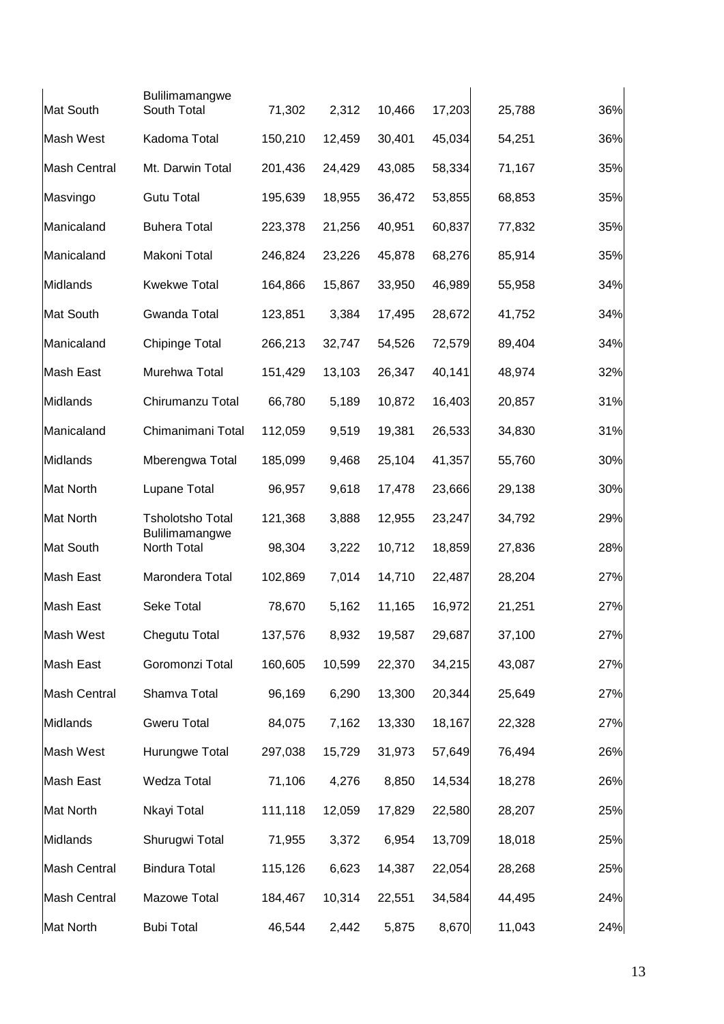|                     | <b>Bulilimamangwe</b>         |         |        |        |        |        |     |
|---------------------|-------------------------------|---------|--------|--------|--------|--------|-----|
| Mat South           | South Total                   | 71,302  | 2,312  | 10,466 | 17,203 | 25,788 | 36% |
| Mash West           | Kadoma Total                  | 150,210 | 12,459 | 30,401 | 45,034 | 54,251 | 36% |
| <b>Mash Central</b> | Mt. Darwin Total              | 201,436 | 24,429 | 43,085 | 58,334 | 71,167 | 35% |
| Masvingo            | <b>Gutu Total</b>             | 195,639 | 18,955 | 36,472 | 53,855 | 68,853 | 35% |
| Manicaland          | <b>Buhera Total</b>           | 223,378 | 21,256 | 40,951 | 60,837 | 77,832 | 35% |
| Manicaland          | Makoni Total                  | 246,824 | 23,226 | 45,878 | 68,276 | 85,914 | 35% |
| Midlands            | <b>Kwekwe Total</b>           | 164,866 | 15,867 | 33,950 | 46,989 | 55,958 | 34% |
| Mat South           | Gwanda Total                  | 123,851 | 3,384  | 17,495 | 28,672 | 41,752 | 34% |
| Manicaland          | <b>Chipinge Total</b>         | 266,213 | 32,747 | 54,526 | 72,579 | 89,404 | 34% |
| Mash East           | Murehwa Total                 | 151,429 | 13,103 | 26,347 | 40,141 | 48,974 | 32% |
| Midlands            | Chirumanzu Total              | 66,780  | 5,189  | 10,872 | 16,403 | 20,857 | 31% |
| Manicaland          | Chimanimani Total             | 112,059 | 9,519  | 19,381 | 26,533 | 34,830 | 31% |
| Midlands            | Mberengwa Total               | 185,099 | 9,468  | 25,104 | 41,357 | 55,760 | 30% |
| <b>Mat North</b>    | Lupane Total                  | 96,957  | 9,618  | 17,478 | 23,666 | 29,138 | 30% |
| <b>Mat North</b>    | <b>Tsholotsho Total</b>       | 121,368 | 3,888  | 12,955 | 23,247 | 34,792 | 29% |
| Mat South           | Bulilimamangwe<br>North Total | 98,304  | 3,222  | 10,712 | 18,859 | 27,836 | 28% |
| Mash East           | Marondera Total               | 102,869 | 7,014  | 14,710 | 22,487 | 28,204 | 27% |
| Mash East           | Seke Total                    | 78,670  | 5,162  | 11,165 | 16,972 | 21,251 | 27% |
| Mash West           | Chegutu Total                 | 137,576 | 8,932  | 19,587 | 29,687 | 37,100 | 27% |
| Mash East           | Goromonzi Total               | 160,605 | 10,599 | 22,370 | 34,215 | 43,087 | 27% |
| <b>Mash Central</b> | Shamva Total                  | 96,169  | 6,290  | 13,300 | 20,344 | 25,649 | 27% |
| Midlands            | <b>Gweru Total</b>            | 84,075  | 7,162  | 13,330 | 18,167 | 22,328 | 27% |
| Mash West           | Hurungwe Total                | 297,038 | 15,729 | 31,973 | 57,649 | 76,494 | 26% |
| Mash East           | Wedza Total                   | 71,106  | 4,276  | 8,850  | 14,534 | 18,278 | 26% |
| <b>Mat North</b>    | Nkayi Total                   | 111,118 | 12,059 | 17,829 | 22,580 | 28,207 | 25% |
| Midlands            | Shurugwi Total                | 71,955  | 3,372  | 6,954  | 13,709 | 18,018 | 25% |
| <b>Mash Central</b> | <b>Bindura Total</b>          | 115,126 | 6,623  | 14,387 | 22,054 | 28,268 | 25% |
| <b>Mash Central</b> | Mazowe Total                  | 184,467 | 10,314 | 22,551 | 34,584 | 44,495 | 24% |
| Mat North           | <b>Bubi Total</b>             | 46,544  | 2,442  | 5,875  | 8,670  | 11,043 | 24% |